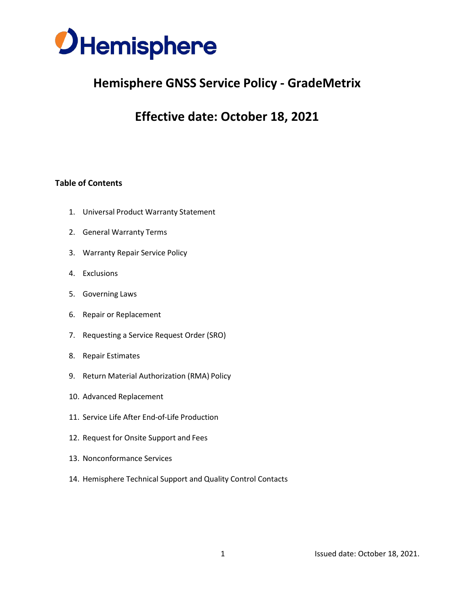

# **Hemisphere GNSS Service Policy - GradeMetrix**

# **Effective date: October 18, 2021**

## **Table of Contents**

- 1. Universal Product Warranty Statement
- 2. General Warranty Terms
- 3. Warranty Repair Service Policy
- 4. Exclusions
- 5. Governing Laws
- 6. Repair or Replacement
- 7. Requesting a Service Request Order (SRO)
- 8. Repair Estimates
- 9. Return Material Authorization (RMA) Policy
- 10. Advanced Replacement
- 11. Service Life After End-of-Life Production
- 12. Request for Onsite Support and Fees
- 13. Nonconformance Services
- 14. Hemisphere Technical Support and Quality Control Contacts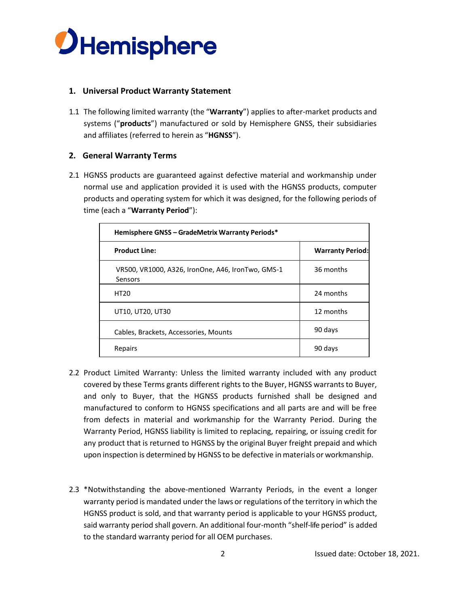

### **1. Universal Product Warranty Statement**

1.1 The following limited warranty (the "**Warranty**") applies to after-market products and systems ("**products**") manufactured or sold by Hemisphere GNSS, their subsidiaries and affiliates (referred to herein as "**HGNSS**").

## **2. General Warranty Terms**

2.1 HGNSS products are guaranteed against defective material and workmanship under normal use and application provided it is used with the HGNSS products, computer products and operating system for which it was designed, for the following periods of time (each a "**Warranty Period**"):

| <b>Hemisphere GNSS - GradeMetrix Warranty Periods*</b>       |                         |
|--------------------------------------------------------------|-------------------------|
| <b>Product Line:</b>                                         | <b>Warranty Period:</b> |
| VR500, VR1000, A326, IronOne, A46, IronTwo, GMS-1<br>Sensors | 36 months               |
| <b>HT20</b>                                                  | 24 months               |
| UT10, UT20, UT30                                             | 12 months               |
| Cables, Brackets, Accessories, Mounts                        | 90 days                 |
| Repairs                                                      | 90 days                 |

- 2.2 Product Limited Warranty: Unless the limited warranty included with any product covered by these Terms grants different rights to the Buyer, HGNSS warrantsto Buyer, and only to Buyer, that the HGNSS products furnished shall be designed and manufactured to conform to HGNSS specifications and all parts are and will be free from defects in material and workmanship for the Warranty Period. During the Warranty Period, HGNSS liability is limited to replacing, repairing, or issuing credit for any product that is returned to HGNSS by the original Buyer freight prepaid and which upon inspection is determined by HGNSS to be defective inmaterials or workmanship.
- 2.3 \*Notwithstanding the above-mentioned Warranty Periods, in the event a longer warranty period is mandated under the laws or regulations of the territory in which the HGNSS product is sold, and that warranty period is applicable to your HGNSS product, said warranty period shall govern. An additional four-month "shelf-life period" is added to the standard warranty period for all OEM purchases.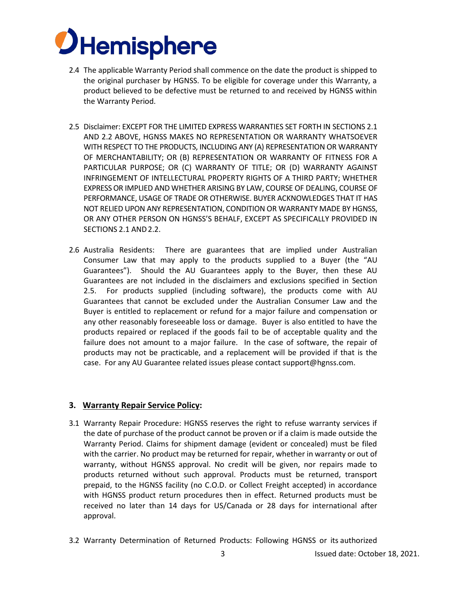

- 2.4 The applicable Warranty Period shall commence on the date the product is shipped to the original purchaser by HGNSS. To be eligible for coverage under this Warranty, a product believed to be defective must be returned to and received by HGNSS within the Warranty Period.
- 2.5 Disclaimer: EXCEPT FOR THE LIMITED EXPRESS WARRANTIES SET FORTH IN SECTIONS 2.1 AND 2.2 ABOVE, HGNSS MAKES NO REPRESENTATION OR WARRANTY WHATSOEVER WITH RESPECT TO THE PRODUCTS, INCLUDING ANY (A) REPRESENTATION OR WARRANTY OF MERCHANTABILITY; OR (B) REPRESENTATION OR WARRANTY OF FITNESS FOR A PARTICULAR PURPOSE; OR (C) WARRANTY OF TITLE; OR (D) WARRANTY AGAINST INFRINGEMENT OF INTELLECTURAL PROPERTY RIGHTS OF A THIRD PARTY; WHETHER EXPRESSOR IMPLIED AND WHETHER ARISING BY LAW, COURSE OF DEALING, COURSE OF PERFORMANCE, USAGE OF TRADE OR OTHERWISE. BUYER ACKNOWLEDGES THAT IT HAS NOT RELIED UPON ANY REPRESENTATION, CONDITION OR WARRANTY MADE BY HGNSS, OR ANY OTHER PERSON ON HGNSS'S BEHALF, EXCEPT AS SPECIFICALLY PROVIDED IN SECTIONS 2.1 AND2.2.
- 2.6 Australia Residents: There are guarantees that are implied under Australian Consumer Law that may apply to the products supplied to a Buyer (the "AU Guarantees"). Should the AU Guarantees apply to the Buyer, then these AU Guarantees are not included in the disclaimers and exclusions specified in Section 2.5. For products supplied (including software), the products come with AU Guarantees that cannot be excluded under the Australian Consumer Law and the Buyer is entitled to replacement or refund for a major failure and compensation or any other reasonably foreseeable loss or damage. Buyer is also entitled to have the products repaired or replaced if the goods fail to be of acceptable quality and the failure does not amount to a major failure. In the case of software, the repair of products may not be practicable, and a replacement will be provided if that is the case. For any AU Guarantee related issues please contact support@hgnss.com.

#### **3. Warranty Repair Service Policy:**

- 3.1 Warranty Repair Procedure: HGNSS reserves the right to refuse warranty services if the date of purchase of the product cannot be proven or if a claim is made outside the Warranty Period. Claims for shipment damage (evident or concealed) must be filed with the carrier. No product may be returned for repair, whether in warranty or out of warranty, without HGNSS approval. No credit will be given, nor repairs made to products returned without such approval. Products must be returned, transport prepaid, to the HGNSS facility (no C.O.D. or Collect Freight accepted) in accordance with HGNSS product return procedures then in effect. Returned products must be received no later than 14 days for US/Canada or 28 days for international after approval.
- 3.2 Warranty Determination of Returned Products: Following HGNSS or its authorized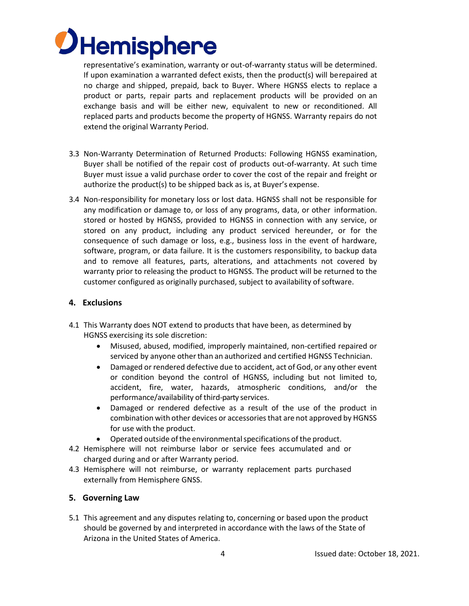

representative's examination, warranty or out-of-warranty status will be determined. If upon examination a warranted defect exists, then the product(s) will berepaired at no charge and shipped, prepaid, back to Buyer. Where HGNSS elects to replace a product or parts, repair parts and replacement products will be provided on an exchange basis and will be either new, equivalent to new or reconditioned. All replaced parts and products become the property of HGNSS. Warranty repairs do not extend the original Warranty Period.

- 3.3 Non-Warranty Determination of Returned Products: Following HGNSS examination, Buyer shall be notified of the repair cost of products out-of-warranty. At such time Buyer must issue a valid purchase order to cover the cost of the repair and freight or authorize the product(s) to be shipped back as is, at Buyer's expense.
- 3.4 Non-responsibility for monetary loss or lost data. HGNSS shall not be responsible for any modification or damage to, or loss of any programs, data, or other information. stored or hosted by HGNSS, provided to HGNSS in connection with any service, or stored on any product, including any product serviced hereunder, or for the consequence of such damage or loss, e.g., business loss in the event of hardware, software, program, or data failure. It is the customers responsibility, to backup data and to remove all features, parts, alterations, and attachments not covered by warranty prior to releasing the product to HGNSS. The product will be returned to the customer configured as originally purchased, subject to availability of software.

### **4. Exclusions**

- 4.1 This Warranty does NOT extend to products that have been, as determined by HGNSS exercising its sole discretion:
	- Misused, abused, modified, improperly maintained, non-certified repaired or serviced by anyone other than an authorized and certified HGNSS Technician.
	- Damaged or rendered defective due to accident, act of God, or any other event or condition beyond the control of HGNSS, including but not limited to, accident, fire, water, hazards, atmospheric conditions, and/or the performance/availability of third-party services.
	- Damaged or rendered defective as a result of the use of the product in combination with other devices or accessories that are not approved by HGNSS for use with the product.
	- Operated outside of the environmental specifications of the product.
- 4.2 Hemisphere will not reimburse labor or service fees accumulated and or charged during and or after Warranty period.
- 4.3 Hemisphere will not reimburse, or warranty replacement parts purchased externally from Hemisphere GNSS.

#### **5. Governing Law**

5.1 This agreement and any disputes relating to, concerning or based upon the product should be governed by and interpreted in accordance with the laws of the State of Arizona in the United States of America.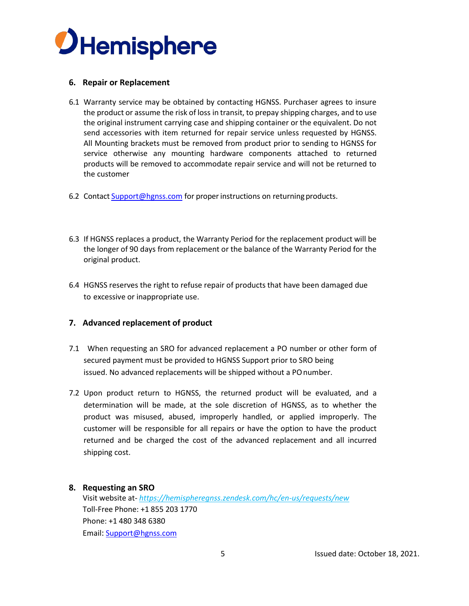

#### **6. Repair or Replacement**

- 6.1 Warranty service may be obtained by contacting HGNSS. Purchaser agrees to insure the product or assume the risk of loss in transit, to prepay shipping charges, and to use the original instrument carrying case and shipping container or the equivalent. Do not send accessories with item returned for repair service unless requested by HGNSS. All Mounting brackets must be removed from product prior to sending to HGNSS for service otherwise any mounting hardware components attached to returned products will be removed to accommodate repair service and will not be returned to the customer
- 6.2 Contact [Support@hgnss.com](mailto:Support@hgnss.com) for proper instructions on returning products.
- 6.3 If HGNSS replaces a product, the Warranty Period for the replacement product will be the longer of 90 days from replacement or the balance of the Warranty Period for the original product.
- 6.4 HGNSS reserves the right to refuse repair of products that have been damaged due to excessive or inappropriate use.

### **7. Advanced replacement of product**

- 7.1 When requesting an SRO for advanced replacement a PO number or other form of secured payment must be provided to HGNSS Support prior to SRO being issued. No advanced replacements will be shipped without a POnumber.
- 7.2 Upon product return to HGNSS, the returned product will be evaluated, and a determination will be made, at the sole discretion of HGNSS, as to whether the product was misused, abused, improperly handled, or applied improperly. The customer will be responsible for all repairs or have the option to have the product returned and be charged the cost of the advanced replacement and all incurred shipping cost.

#### **8. Requesting an SRO**

Visit website at- *https://hemispheregnss.zendesk.com/hc/en-us/requests/new* Toll-Free Phone: +1 855 203 1770 Phone: +1 480 348 6380 Email: [Support@hgnss.com](mailto:Support@hgnss.com)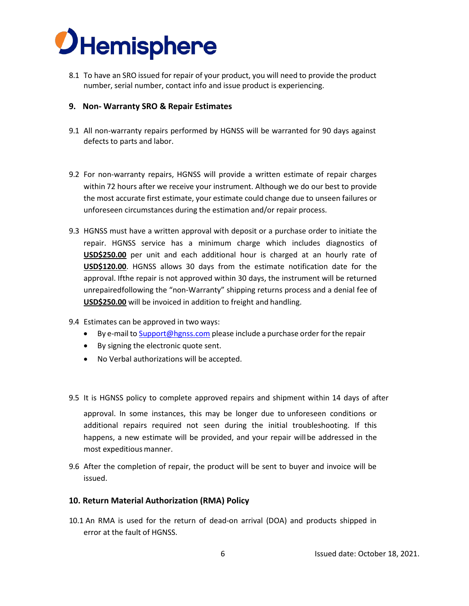

8.1 To have an SRO issued for repair of your product, you will need to provide the product number, serial number, contact info and issue product is experiencing.

#### **9. Non- Warranty SRO & Repair Estimates**

- 9.1 All non-warranty repairs performed by HGNSS will be warranted for 90 days against defects to parts and labor.
- 9.2 For non-warranty repairs, HGNSS will provide a written estimate of repair charges within 72 hours after we receive your instrument. Although we do our best to provide the most accurate first estimate, your estimate could change due to unseen failures or unforeseen circumstances during the estimation and/or repair process.
- 9.3 HGNSS must have a written approval with deposit or a purchase order to initiate the repair. HGNSS service has a minimum charge which includes diagnostics of **USD\$250.00** per unit and each additional hour is charged at an hourly rate of **USD\$120.00**. HGNSS allows 30 days from the estimate notification date for the approval. Ifthe repair is not approved within 30 days, the instrument will be returned unrepairedfollowing the "non-Warranty" shipping returns process and a denial fee of **USD\$250.00** will be invoiced in addition to freight and handling.
- 9.4 Estimates can be approved in two ways:
	- By e-mail to [Support@hgnss.com](mailto:Support@hgnss.com) please include a purchase order for the repair
	- By signing the electronic quote sent.
	- No Verbal authorizations will be accepted.
- 9.5 It is HGNSS policy to complete approved repairs and shipment within 14 days of after

approval. In some instances, this may be longer due to unforeseen conditions or additional repairs required not seen during the initial troubleshooting. If this happens, a new estimate will be provided, and your repair will be addressed in the most expeditious manner.

9.6 After the completion of repair, the product will be sent to buyer and invoice will be issued.

#### **10. Return Material Authorization (RMA) Policy**

10.1 An RMA is used for the return of dead-on arrival (DOA) and products shipped in error at the fault of HGNSS.